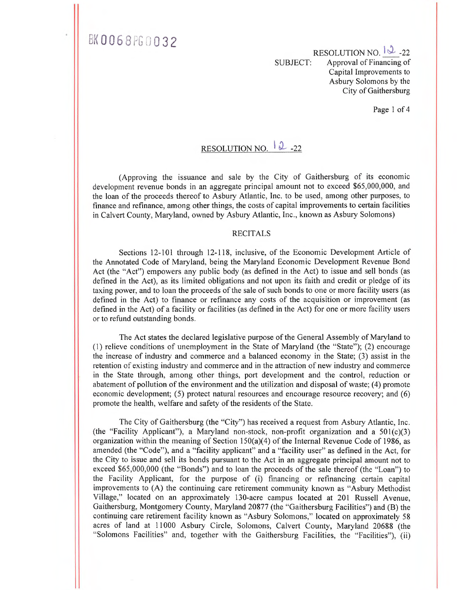BK0068PG0032

RESOLUTION NO.  $\sqrt{2}$ -22 SUBJECT: Approval of Financing of Capital Improvements to Asbury Solomons by the City of Gaithersburg

Page 1 of 4

#### RESOLUTION NO.  $\downarrow$  2-22

(Approving the issuance and sale by the City of Gaithersburg of its economic development revenue bonds in an aggregate principal amount not to exceed \$65,000,000, and the loan of the proceeds thereof to Asbury Atlantic, Inc. to be used, among other purposes, to finance and refinance, among other things, the costs of capital improvements to certain facilities in Calvert County, Maryland, owned by Asbury Atlantic, Inc., known as Asbury Solomons)

#### RECITALS

Sections 12-101 through 12-118, inclusive, of the Economic Development Article of the Annotated Code of Maryland, being the Maryland Economic Development Revenue Bond Act (the "Act") empowers any public body (as defined in the Act) to issue and sell bonds (as defined in the Act), as its limited obligations and not upon its faith and credit or pledge of its taxing power, and to loan the proceeds of the sale of such bonds to one or more facility users (as defined in the Act) to finance or refinance any costs of the acquisition or improvement (as defined in the Act) of a facility or facilities (as defined in the Act) for one or more facility users or to refund outstanding bonds.

The Act states the declared legislative purpose of the General Assembly of Maryland to (1) relieve conditions of unemployment in the State of Maryland (the "State"); (2) encourage the increase of industry and commerce and a balanced economy in the State; (3) assist in the retention of existing industry and commerce and in the attraction of new industry and commerce in the State through, among other things, port development and the control, reduction or abatement of pollution of the environment and the utilization and disposal of waste; (4) promote economic development; (5) protect natural resources and encourage resource recovery; and (6) promote the health, welfare and safety of the residents of the State.

The City of Gaithersburg (the "City") has received a request from Asbury Atlantic, Inc. (the "Facility Applicant"), a Maryland non-stock, non-profit organization and a  $501(c)(3)$ organization within the meaning of Section 150(a)(4) of the Internal Revenue Code of 1986, as amended (the "Code"), and a "facility applicant" and a "facility user" as defined in the Act, for the City to issue and sell its bonds pursuant to the Act in an aggregate principal amount not to exceed \$65,000,000 (the "Bonds") and to loan the proceeds of the sale thereof (the "Loan") to the Facility Applicant, for the purpose of (i) financing or refinancing certain capital improvements to (A) the continuing care retirement community known as "Asbury Methodist Village," located on an approximately 130-acre campus located at 201 Russell Avenue, Gaithersburg, Montgomery County, Maryland 20877 (the "Gaithersburg Facilities") and (B) the continuing care retirement facility known as "Asbury Solomons," located on approximately 58 acres of land at 11000 Asbury Circle, Solomons, Calvert County, Maryland 20688 (the "Solomons Facilities" and, together with the Gaithersburg Facilities, the "Facilities"), (ii)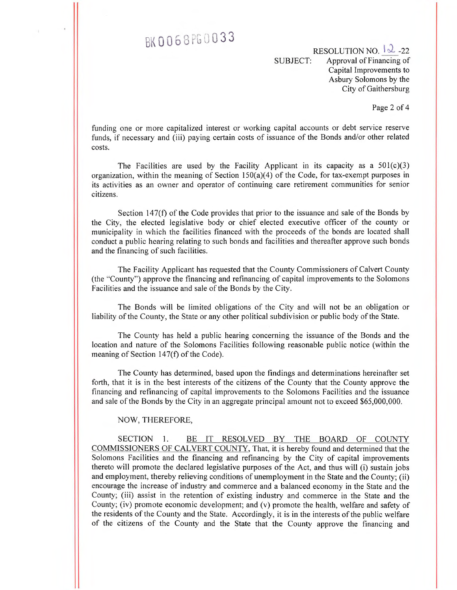## BK 0068PG 0033

RESOLUTION NO.  $\sqrt{2}$ -22 SUBJECT: Approval of Financing of Capital Improvements to Asbury Solomons by the City of Gaithersburg

Page 2 of 4

funding one or more capitalized interest or working capital accounts or debt service reserve funds, if necessary and (iii) paying certain costs of issuance of the Bonds and/or other related costs.

The Facilities are used by the Facility Applicant in its capacity as a  $501(c)(3)$ organization, within the meaning of Section  $150(a)(4)$  of the Code, for tax-exempt purposes in its activities as an owner and operator of continuing care retirement communities for senior citizens.

Section 147(f) of the Code provides that prior to the issuance and sale of the Bonds by the City, the elected legislative body or chief elected executive officer of the county or municipality in which the facilities financed with the proceeds of the bonds are located shall conduct a public hearing relating to such bonds and facilities and thereafter approve such bonds and the financing of such facilities.

The Facility Applicant has requested that the County Commissioners of Calvert County (the "County") approve the financing and refinancing of capital improvements to the Solomons Facilities and the issuance and sale of the Bonds by the City.

The Bonds will be limited obligations of the City and will not be an obligation or liability of the County, the State or any other political subdivision or public body of the State.

The County has held a public hearing concerning the issuance of the Bonds and the location and nature of the Solomons Facilities following reasonable public notice (within the meaning of Section 147(f) of the Code).

The County has determined, based upon the findings and determinations hereinafter set forth, that it is in the best interests of the citizens of the County that the County approve the financing and refinancing of capital improvements to the Solomons Facilities and the issuance and sale of the Bonds by the City in an aggregate principal amount not to exceed \$65,000,000.

#### NOW, THEREFORE,

SECTION 1. BE IT RESOLVED BY THE BOARD OF COUNTY COMMISSIONERS OF CALVERT COUNTY, That, it is hereby found and determined that the Solomons Facilities and the financing and refinancing by the City of capital improvements thereto will promote the declared legislative purposes of the Act, and thus will (i) sustain jobs and employment, thereby relieving conditions of unemployment in the State and the County; (ii) encourage the increase of industry and commerce and a balanced economy in the State and the County; (iii) assist in the retention of existing industry and commerce in the State and the County; (iv) promote economic development; and (v) promote the health, welfare and safety of the residents of the County and the State. Accordingly, it is in the interests of the public welfare of the citizens of the County and the State that the County approve the financing and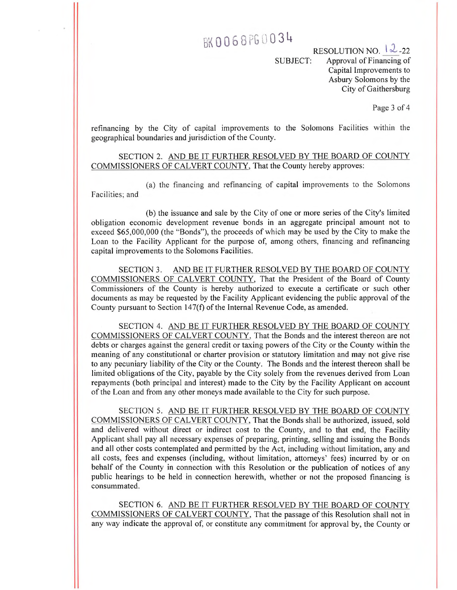### BK0068PG0034

RESOLUTION NO.  $|2$ -22 SUBJECT: Approval of Financing of Capital Improvements to Asbury Solomons by the City of Gaithersburg

Page 3 of 4

refinancing by the City of capital improvements to the Solomons Facilities within the geographical boundaries and jurisdiction of the County.

SECTION 2. AND BE IT FURTHER RESOLVED BY THE BOARD OF COUNTY COMMISSIONERS OF CALVERT COUNTY, That the County hereby approves:

(a) the financing and refinancing of capital improvements to the Solomons Facilities; and

(b) the issuance and sale by the City of one or more series of the City's limited obligation economic development revenue bonds in an aggregate principal amount not to exceed \$65,000,000 (the "Bonds"), the proceeds of which may be used by the City to make the Loan to the Facility Applicant for the purpose of, among others, financing and refinancing capital improvements to the Solomons Facilities.

SECTION 3. AND BE IT FURTHER RESOLVED BY THE BOARD OF COUNTY COMMISSIONERS OF CALVERT COUNTY, That the President of the Board of County Commissioners of the County is hereby authorized to execute a certificate or such other documents as may be requested by the Facility Applicant evidencing the public approval of the County pursuant to Section 147(f) of the Internal Revenue Code, as amended.

SECTION 4. AND BE IT FURTHER RESOLVED BY THE BOARD OF COUNTY COMMISSIONERS OF CALVERT COUNTY, That the Bonds and the interest thereon are not debts or charges against the general credit or taxing powers of the City or the County within the meaning of any constitutional or charter provision or statutory limitation and may not give rise to any pecuniary liability of the City or the County. The Bonds and the interest thereon shall be limited obligations of the City, payable by the City solely from the revenues derived from Loan repayments (both principal and interest) made to the City by the Facility Applicant on account of the Loan and from any other moneys made available to the City for such purpose.

SECTION 5. AND BE IT FURTHER RESOLVED BY THE BOARD OF COUNTY COMMISSIONERS OF CALVERT COUNTY, That the Bonds shall be authorized, issued, sold and delivered without direct or indirect cost to the County, and to that end, the Facility Applicant shall pay all necessary expenses of preparing, printing, selling and issuing the Bonds and all other costs contemplated and permitted by the Act, including without limitation, any and all costs, fees and expenses (including, without limitation, attorneys' fees) incurred by or on behalf of the County in connection with this Resolution or the publication of notices of any public hearings to be held in connection herewith, whether or not the proposed financing is consummated.

SECTION 6. AND BE IT FURTHER RESOLVED BY THE BOARD OF COUNTY COMMISSIONERS OF CALVERT COUNTY, That the passage of this Resolution shall not in any way indicate the approval of, or constitute any commitment for approval by, the County or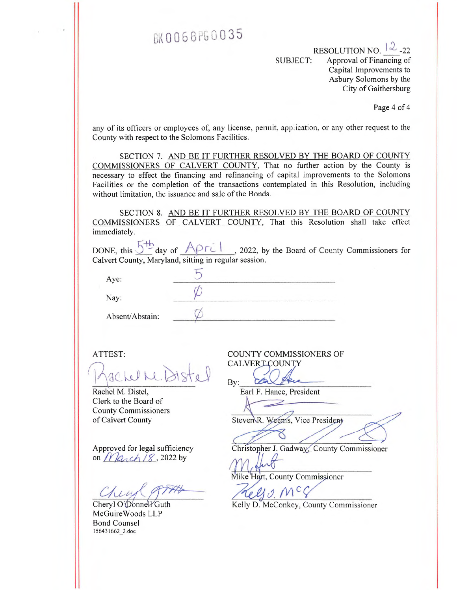### BK0068PG0035

RESOLUTION NO.  $|\lambda$  -22 SUBJECT: Approval of Financing of Capital Improvements to Asbury Solomons by the City of Gaithersburg

Page 4 of 4

any of its officers or employees of, any license, permit, application, or any other request to the County with respect to the Solomons Facilities.

SECTION 7. AND BE IT FURTHER RESOLVED BY THE BOARD OF COUNTY COMMISSIONERS OF CALVERT COUNTY, That no further action by the County is necessary to effect the financing and refinancing of capital improvements to the Solomons Facilities or the completion of the transactions contemplated in this Resolution, including without limitation, the issuance and sale of the Bonds.

SECTION 8. AND BE IT FURTHER RESOLVED BY THE BOARD OF COUNTY COMMISSIONERS OF CALVERT COUNTY, That this Resolution shall take effect immediately.

|      |                                                       | DONE, this $5^{\text{th}}$ day of APril, 2022, by the Board of County Commissioners for |
|------|-------------------------------------------------------|-----------------------------------------------------------------------------------------|
|      | Calvert County, Maryland, sitting in regular session. |                                                                                         |
|      |                                                       |                                                                                         |
|      |                                                       |                                                                                         |
| Ave: |                                                       |                                                                                         |
|      |                                                       |                                                                                         |

Nay:

Absent/Abstain:

ATTEST:

achel Me. Distel

Rachel M. Distel, Clerk to the Board of County. Commissioners of Calvert County

on  $\n *Maxch* / 8$ , 2022 by

Cheryl O' $\mathcal D$ onne $\mathcal W$ Guth McGuire Woods LLP Bond Counsel 156431662\_2.doc

COUNTY COMMISSIONERS OF CALVERICOUNTY

By:

Earl F. Hance, President

Steven R. Weems, Vice President

Approved for legal sufficiency Christopher J. Gadway, County Commissioner

Mike Hart, County Commiss

 $M$ .  $\epsilon$ 

Kelly D. McConkey, County Commissioner